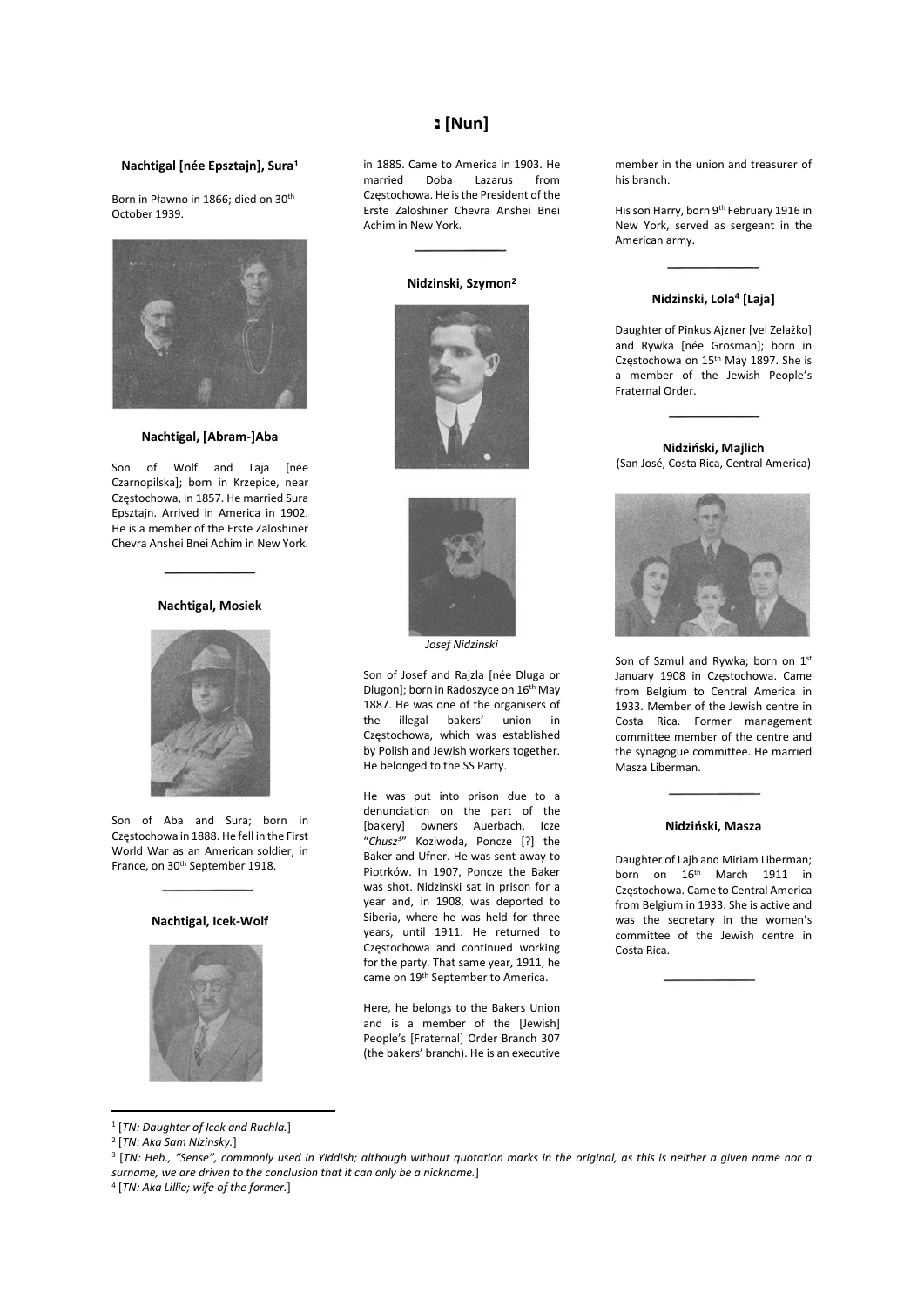# **[Nun]** נ

### Nachtigal [née Epsztajn], Sura<sup>1</sup>

Born in Pławno in 1866; died on 30th October 1939.



#### Nachtigal, [Abram-]Aba

Son of Wolf and Laja Inée Czarnopilska]; born in Krzepice, near Częstochowa, in 1857. He married Sura Epsztajn. Arrived in America in 1902. He is a member of the Erste Zaloshiner Chevra Anshei Bnei Achim in New York.

## Nachtigal, Mosiek



Son of Aba and Sura; born in Częstochowa in 1888. He fell in the First World War as an American soldier, in France, on 30th September 1918.

#### Nachtigal, Icek-Wolf



in 1885. Came to America in 1903. He married Doba Lazarus from Częstochowa. He is the President of the Erste Zaloshiner Chevra Anshei Bnei Achim in New York.

#### Nidzinski, Szymon<sup>2</sup>





Josef Nidzinski

Son of Josef and Rajzla [née Dluga or Dlugon]; born in Radoszyce on 16th May 1887. He was one of the organisers of the illegal bakers' union in Częstochowa, which was established by Polish and Jewish workers together. He belonged to the SS Party.

He was put into prison due to a denunciation on the part of the [bakery] owners Auerbach, Icze "Chusz<sup>3</sup>" Koziwoda, Poncze [?] the Baker and Ufner. He was sent away to Piotrków. In 1907, Poncze the Baker was shot. Nidzinski sat in prison for a year and, in 1908, was deported to Siberia, where he was held for three years, until 1911. He returned to Częstochowa and continued working for the party. That same year, 1911, he came on 19th September to America.

Here, he belongs to the Bakers Union and is a member of the [Jewish] People's [Fraternal] Order Branch 307 (the bakers' branch). He is an executive

member in the union and treasurer of his branch.

His son Harry, born 9th February 1916 in New York, served as sergeant in the American army.

#### Nidzinski, Lola<sup>4</sup> [Laja]

Daughter of Pinkus Ajzner [vel Zelażko] and Rywka [née Grosman]; born in Częstochowa on 15th May 1897. She is a member of the Jewish People's Fraternal Order.

Nidziński, Majlich (San José, Costa Rica, Central America)



Son of Szmul and Rywka; born on 1st January 1908 in Częstochowa. Came from Belgium to Central America in 1933. Member of the Jewish centre in Costa Rica. Former management committee member of the centre and the synagogue committee. He married Masza Liberman.

### Nidziński, Masza

Daughter of Lajb and Miriam Liberman; born on 16<sup>th</sup> March 1911 in Częstochowa. Came to Central America from Belgium in 1933. She is active and was the secretary in the women's committee of the Jewish centre in Costa Rica.

3 [TN: Heb., "Sense", commonly used in Yiddish; although without quotation marks in the original, as this is neither a given name nor a surname, we are driven to the conclusion that it can only be a nickname.]

4 [TN: Aka Lillie; wife of the former.]

<sup>&</sup>lt;sup>1</sup> [TN: Daughter of Icek and Ruchla.]

<sup>&</sup>lt;sup>2</sup> [TN: Aka Sam Nizinsky.]